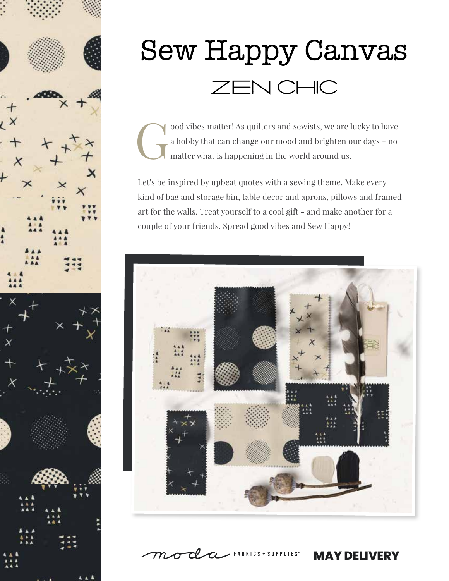

# **Sew Happy Canvas** ZEN CHIC

ood vibes matter! As quilters and sewists, we are lucky to have a hobby that can change our mood and brighten our days - no matter what is happening in the world around us. a hobby that can change our mood and brighten our days - no matter what is happening in the world around us.

Let's be inspired by upbeat quotes with a sewing theme. Make every kind of bag and storage bin, table decor and aprons, pillows and framed art for the walls. Treat yourself to a cool gift - and make another for a couple of your friends. Spread good vibes and Sew Happy!



CLCL FABRICS + SUPPLIES®

**MAY DELIVERY**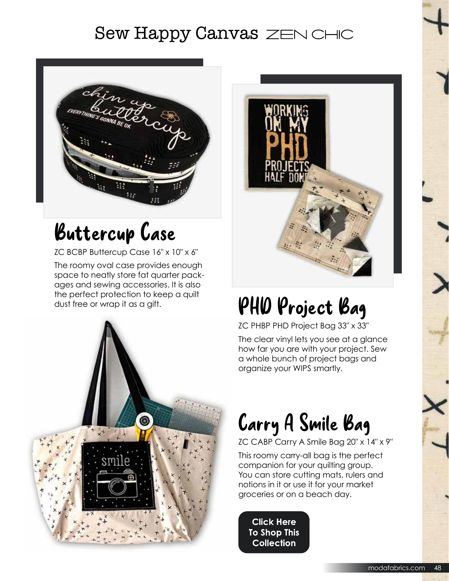### **Sew Happy Canvas ZEN CHIC**



### Buttercup Case

ZC BCBP Buttercup Case 16" x 10" x 6"

The roomy oval case provides enough space to neatly store fat quarter packages and sewing accessories. It is also the perfect protection to keep a quilt dust free or wrap it as a gift.





## PHD Project Bag

ZC PHBP PHD Project Bag 33" x 33"

The clear vinyl lets you see at a glance how far you are with your project. Sew a whole bunch of project bags and organize your WIPS smartly.

### Carry A Smile Bag

ZC CABP Carry A Smile Bag 20" x 14" x 9"

This roomy carry-all bag is the perfect companion for your quilting group. You can store cutting mats, rulers and notions in it or use it for your market groceries or on a beach day.

**Click Here To Shop This Collection**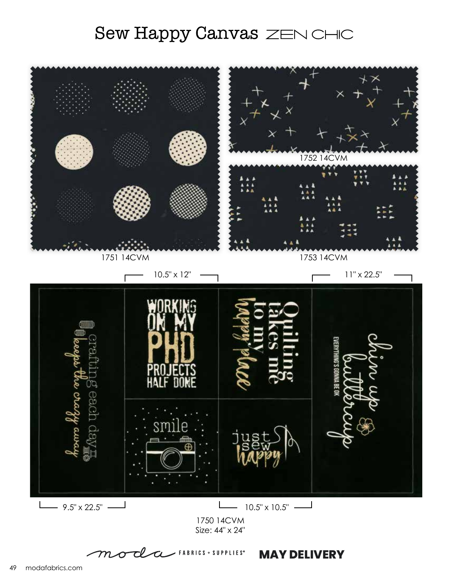#### Sew Happy Canvas ZEN CHIC



<u>cl</u>  $\sim$  FABRICS + SUPPLIES<sup>®</sup>  $\overline{\mathcal{L}}$ **MAY DELIVERY**  ${\cal m}$  $\bm{\sigma}$